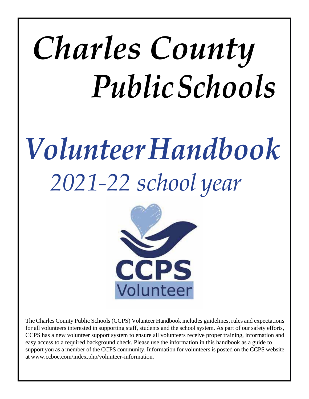# *Charles County PublicSchools*

## *VolunteerHandbook 2021-22 school year*



The Charles County Public Schools (CCPS) Volunteer Handbook includes guidelines, rules and expectations for all volunteers interested in supporting staff, students and the school system. As part of our safety efforts, CCPS has a new volunteer support system to ensure all volunteers receive proper training, information and easy access to a required background check. Please use the information in this handbook as a guide to support you as a member of the CCPS community. Information for volunteers is posted on the CCPS website at [www.ccboe.com/index.php/volunteer-information.](http://www.ccboe.com/index.php/volunteer-information)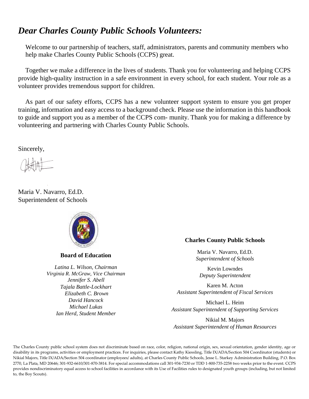## *Dear Charles County Public Schools Volunteers:*

Welcome to our partnership of teachers, staff, administrators, parents and community members who help make Charles County Public Schools (CCPS) great.

Together we make a difference in the lives of students. Thank you for volunteering and helping CCPS provide high-quality instruction in a safe environment in every school, for each student. Your role as a volunteer provides tremendous support for children.

As part of our safety efforts, CCPS has a new volunteer support system to ensure you get proper training, information and easy access to a background check. Please use the information in this handbook to guide and support you as a member of the CCPS com- munity. Thank you for making a difference by volunteering and partnering with Charles County Public Schools.

Sincerely,

Maria V. Navarro, Ed.D. Superintendent of Schools



**Board of Education**

*Latina L. Wilson, Chairman Virginia R. McGraw, Vice Chairman Jennifer S. Abell Tajala Battle-Lockhart Elizabeth C. Brown David Hancock Michael Lukas Ian Herd, Student Member*

#### **Charles County Public Schools**

Maria V. Navarro, Ed.D. *Superintendent of Schools*

Kevin Lowndes *Deputy Superintendent*

Karen M. Acton *Assistant Superintendent of Fiscal Services*

Michael L. Heim *Assistant Superintendent of Supporting Services*

Nikial M. Majors *Assistant Superintendent of Human Resources*

The Charles County public school system does not discriminate based on race, color, religion, national origin, sex, sexual orientation, gender identity, age or disability in its programs, activities or employment practices. For inquiries, please contact Kathy Kiessling, Title IX/ADA/Section 504 Coordinator (students) or Nikial Majors, Title IX/ADA/Section 504 coordinator (employees/ adults), at Charles County Public Schools, Jesse L. Starkey Administration Building, P.O. Box 2770, La Plata, MD 20646; 301-932-6610/301-870-3814. For special accommodations call 301-934-7230 or TDD 1-800-735-2258 two weeks prior to the event. CCPS provides nondiscriminatory equal access to school facilities in accordance with its Use of Facilities rules to designated youth groups (including, but not limited to, the Boy Scouts).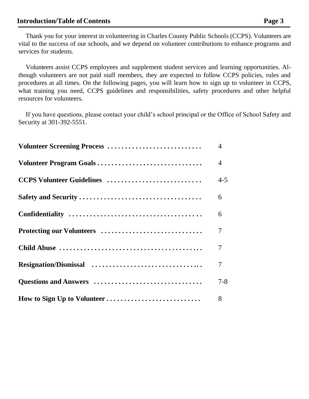Volunteers assist CCPS employees and supplement student services and learning opportunities. Although volunteers are not paid staff members, they are expected to follow CCPS policies, rules and procedures at all times. On the following pages, you will learn how to sign up to volunteer in CCPS, what training you need, CCPS guidelines and responsibilities, safety procedures and other helpful resources for volunteers.

If you have questions, please contact your child's school principal or the Office of School Safety and Security at 301-392-5551.

| Volunteer Screening Process | $\overline{4}$ |
|-----------------------------|----------------|
|                             | $\overline{4}$ |
| CCPS Volunteer Guidelines   | $4 - 5$        |
|                             | 6              |
|                             | 6              |
| Protecting our Volunteers   | $\overline{7}$ |
|                             | $\overline{7}$ |
|                             | 7              |
|                             | $7 - 8$        |
| How to Sign Up to Volunteer | 8              |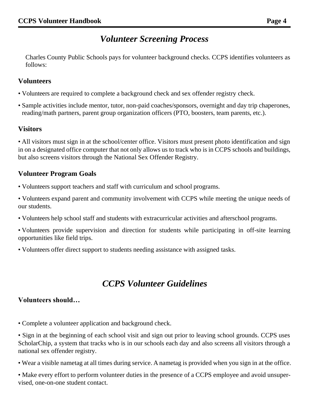## *Volunteer Screening Process*

<span id="page-3-0"></span>Charles County Public Schools pays for volunteer background checks. CCPS identifies volunteers as follows:

#### **Volunteers**

- Volunteers are required to complete a background check and sex offender registry check.
- Sample activities include mentor, tutor, non-paid coaches/sponsors, overnight and day trip chaperones, reading/math partners, parent group organization officers (PTO, boosters, team parents, etc.).

#### **Visitors**

• All visitors must sign in at the school/center office. Visitors must present photo identification and sign in on a designated office computer that not only allows us to track who is in CCPS schools and buildings, but also screens visitors through the National Sex Offender Registry.

#### <span id="page-3-1"></span>**Volunteer Program Goals**

- Volunteers support teachers and staff with curriculum and school programs.
- Volunteers expand parent and community involvement with CCPS while meeting the unique needs of our students.
- Volunteers help school staff and students with extracurricular activities and afterschool programs.
- Volunteers provide supervision and direction for students while participating in off-site learning opportunities like field trips.
- Volunteers offer direct support to students needing assistance with assigned tasks.

## *CCPS Volunteer Guidelines*

#### <span id="page-3-2"></span>**Volunteers should…**

- Complete a volunteer application and background check.
- Sign in at the beginning of each school visit and sign out prior to leaving school grounds. CCPS uses ScholarChip, a system that tracks who is in our schools each day and also screens all visitors through a national sex offender registry.
- Wear a visible nametag at all times during service. A nametag is provided when you sign in at the office.
- Make every effort to perform volunteer duties in the presence of a CCPS employee and avoid unsupervised, one-on-one student contact.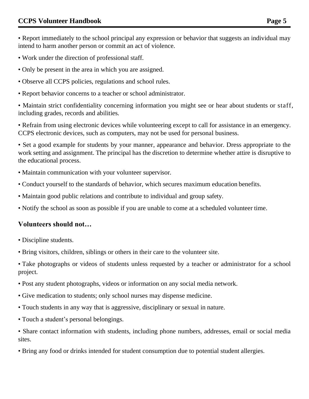• Report immediately to the school principal any expression or behavior that suggests an individual may intend to harm another person or commit an act of violence.

- Work under the direction of professional staff.
- Only be present in the area in which you are assigned.
- Observe all CCPS policies, regulations and school rules.
- Report behavior concerns to a teacher or school administrator.

• Maintain strict confidentiality concerning information you might see or hear about students or staff, including grades, records and abilities.

• Refrain from using electronic devices while volunteering except to call for assistance in an emergency. CCPS electronic devices, such as computers, may not be used for personal business.

• Set a good example for students by your manner, appearance and behavior. Dress appropriate to the work setting and assignment. The principal has the discretion to determine whether attire is disruptive to the educational process.

- Maintain communication with your volunteer supervisor.
- Conduct yourself to the standards of behavior, which secures maximum education benefits.
- Maintain good public relations and contribute to individual and group safety.
- Notify the school as soon as possible if you are unable to come at a scheduled volunteer time.

#### **Volunteers should not…**

- Discipline students.
- Bring visitors, children, siblings or others in their care to the volunteer site.

• Take photographs or videos of students unless requested by a teacher or administrator for a school project.

- Post any student photographs, videos or information on any social media network.
- Give medication to students; only school nurses may dispense medicine.
- Touch students in any way that is aggressive, disciplinary or sexual in nature.
- Touch a student's personal belongings.

• Share contact information with students, including phone numbers, addresses, email or social media sites.

• Bring any food or drinks intended for student consumption due to potential student allergies.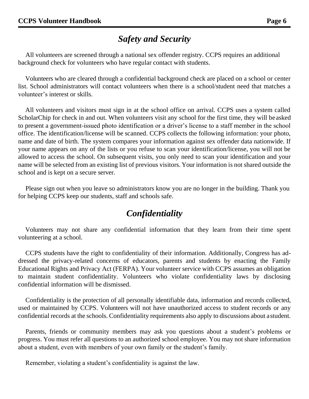## *Safety and Security*

<span id="page-5-0"></span>All volunteers are screened through a national sex offender registry. CCPS requires an additional background check for volunteers who have regular contact with students.

Volunteers who are cleared through a confidential background check are placed on a school or center list. School administrators will contact volunteers when there is a school/student need that matches a volunteer's interest or skills.

All volunteers and visitors must sign in at the school office on arrival. CCPS uses a system called ScholarChip for check in and out. When volunteers visit any school for the first time, they will be asked to present a government-issued photo identification or a driver's license to a staff member in the school office. The identification/license will be scanned. CCPS collects the following information: your photo, name and date of birth. The system compares your information against sex offender data nationwide. If your name appears on any of the lists or you refuse to scan your identification/license, you will not be allowed to access the school. On subsequent visits, you only need to scan your identification and your name will be selected from an existing list of previous visitors. Your information is not shared outside the school and is kept on a secure server.

Please sign out when you leave so administrators know you are no longer in the building. Thank you for helping CCPS keep our students, staff and schools safe.

## *Confidentiality*

<span id="page-5-1"></span>Volunteers may not share any confidential information that they learn from their time spent volunteering at a school.

CCPS students have the right to confidentiality of their information. Additionally, Congress has addressed the privacy-related concerns of educators, parents and students by enacting the Family Educational Rights and Privacy Act (FERPA). Your volunteer service with CCPS assumes an obligation to maintain student confidentiality. Volunteers who violate confidentiality laws by disclosing confidential information will be dismissed.

Confidentiality is the protection of all personally identifiable data, information and records collected, used or maintained by CCPS. Volunteers will not have unauthorized access to student records or any confidential records at the schools. Confidentiality requirements also apply to discussions about astudent.

Parents, friends or community members may ask you questions about a student's problems or progress. You must refer all questions to an authorized school employee. You may not share information about a student, even with members of your own family or the student's family.

Remember, violating a student's confidentiality is against the law.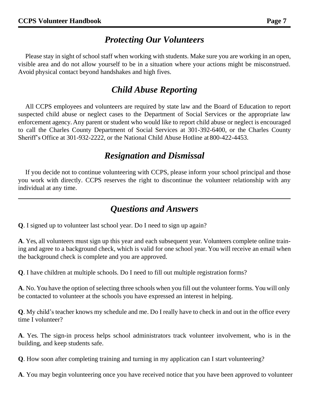## *Protecting Our Volunteers*

<span id="page-6-0"></span>Please stay in sight of school staff when working with students. Make sure you are working in an open, visible area and do not allow yourself to be in a situation where your actions might be misconstrued. Avoid physical contact beyond handshakes and high fives.

## *Child Abuse Reporting*

All CCPS employees and volunteers are required by state law and the Board of Education to report suspected child abuse or neglect cases to the Department of Social Services or the appropriate law enforcement agency. Any parent or student who would like to report child abuse or neglect is encouraged to call the Charles County Department of Social Services at 301-392-6400, or the Charles County Sheriff's Office at 301-932-2222, or the National Child Abuse Hotline at 800-422-4453.

## *Resignation and Dismissal*

If you decide not to continue volunteering with CCPS, please inform your school principal and those you work with directly. CCPS reserves the right to discontinue the volunteer relationship with any individual at any time.

## *Questions and Answers*

<span id="page-6-1"></span>**Q**. I signed up to volunteer last school year. Do I need to sign up again?

**A**. Yes, all volunteers must sign up this year and each subsequent year. Volunteers complete online training and agree to a background check, which is valid for one school year. You will receive an email when the background check is complete and you are approved.

**Q**. I have children at multiple schools. Do I need to fill out multiple registration forms?

**A**. No. You have the option of selecting three schools when you fill out the volunteer forms. You will only be contacted to volunteer at the schools you have expressed an interest in helping.

**Q**. My child's teacher knows my schedule and me. Do I really have to check in and out in the office every time I volunteer?

**A**. Yes. The sign-in process helps school administrators track volunteer involvement, who is in the building, and keep students safe.

**Q**. How soon after completing training and turning in my application can I start volunteering?

**A**. You may begin volunteering once you have received notice that you have been approved to volunteer